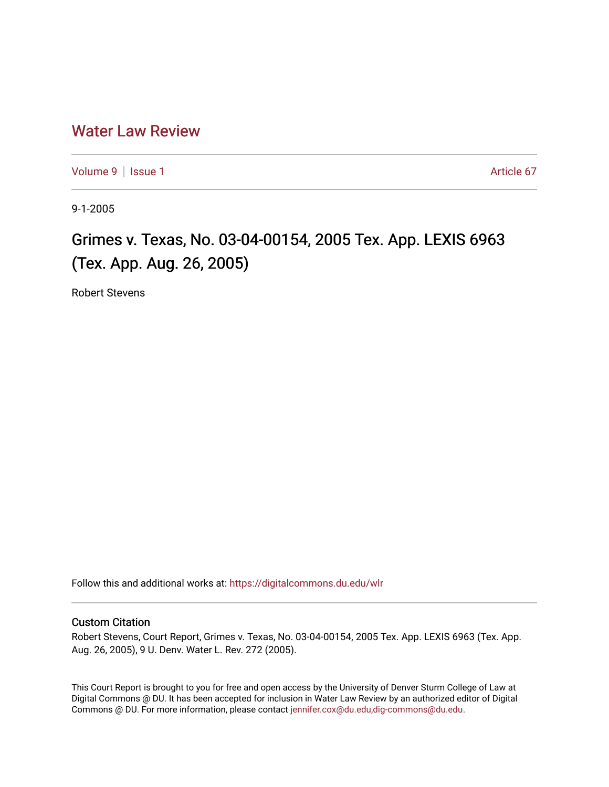## [Water Law Review](https://digitalcommons.du.edu/wlr)

[Volume 9](https://digitalcommons.du.edu/wlr/vol9) | [Issue 1](https://digitalcommons.du.edu/wlr/vol9/iss1) Article 67

9-1-2005

## Grimes v. Texas, No. 03-04-00154, 2005 Tex. App. LEXIS 6963 (Tex. App. Aug. 26, 2005)

Robert Stevens

Follow this and additional works at: [https://digitalcommons.du.edu/wlr](https://digitalcommons.du.edu/wlr?utm_source=digitalcommons.du.edu%2Fwlr%2Fvol9%2Fiss1%2F67&utm_medium=PDF&utm_campaign=PDFCoverPages) 

## Custom Citation

Robert Stevens, Court Report, Grimes v. Texas, No. 03-04-00154, 2005 Tex. App. LEXIS 6963 (Tex. App. Aug. 26, 2005), 9 U. Denv. Water L. Rev. 272 (2005).

This Court Report is brought to you for free and open access by the University of Denver Sturm College of Law at Digital Commons @ DU. It has been accepted for inclusion in Water Law Review by an authorized editor of Digital Commons @ DU. For more information, please contact [jennifer.cox@du.edu,dig-commons@du.edu.](mailto:jennifer.cox@du.edu,dig-commons@du.edu)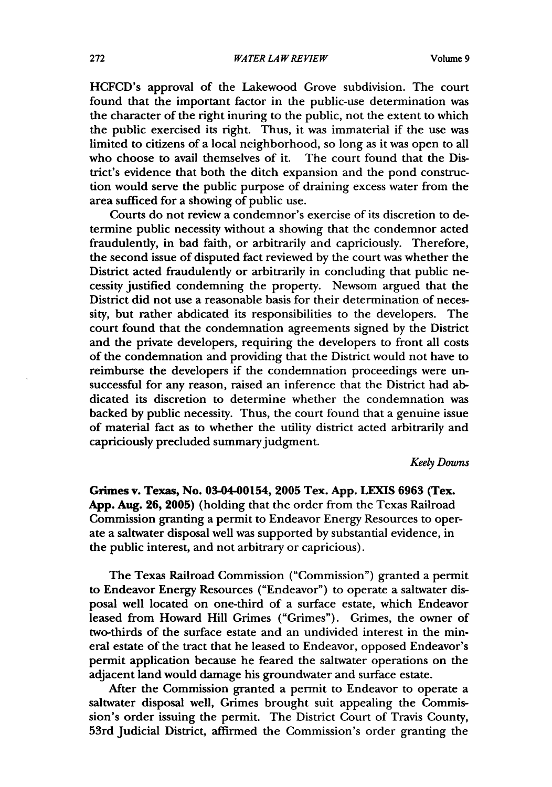HCFCD's approval of the Lakewood Grove subdivision. The court found that the important factor in the public-use determination was the character of the right inuring to the public, not the extent to which the public exercised its right. Thus, it was immaterial if the use was limited to citizens of a local neighborhood, so long as it was open to all who choose to avail themselves of it. The court found that the District's evidence that both the ditch expansion and the pond construction would serve the public purpose of draining excess water from the area sufficed for a showing of public use.

Courts do not review a condemnor's exercise of its discretion to determine public necessity without a showing that the condemnor acted fraudulently, in bad faith, or arbitrarily and capriciously. Therefore, the second issue of disputed fact reviewed by the court was whether the District acted fraudulently or arbitrarily in concluding that public necessity justified condemning the property. Newsom argued that the District did not use a reasonable basis for their determination of necessity, but rather abdicated its responsibilities to the developers. The court found that the condemnation agreements signed by the District and the private developers, requiring the developers to front all costs of the condemnation and providing that the District would not have to reimburse the developers if the condemnation proceedings were unsuccessful for any reason, raised an inference that the District had abdicated its discretion to determine whether the condemnation was backed by public necessity. Thus, the court found that a genuine issue of material fact as to whether the utility district acted arbitrarily and capriciously precluded summary judgment.

## *Keely Downs*

Grimes **v.** Texas, **No.** 03-04-00154, **2005** Tex. **App. LEXIS 6963** (Tex. **App.** Aug. **26, 2005)** (holding that the order from the Texas Railroad Commission granting a permit to Endeavor Energy Resources to operate a saltwater disposal well was supported by substantial evidence, in the public interest, and not arbitrary or capricious).

The Texas Railroad Commission ("Commission") granted a permit to Endeavor Energy Resources ("Endeavor") to operate a saltwater disposal well located on one-third of a surface estate, which Endeavor leased from Howard Hill Grimes ("Grimes"). Grimes, the owner of two-thirds of the surface estate and an undivided interest in the mineral estate of the tract that he leased to Endeavor, opposed Endeavor's permit application because he feared the saltwater operations on the adjacent land would damage his groundwater and surface estate.

After the Commission granted a permit to Endeavor to operate a saltwater disposal well, Grimes brought suit appealing the Commission's order issuing the permit. The District Court of Travis County, 53rd Judicial District, affirmed the Commission's order granting the